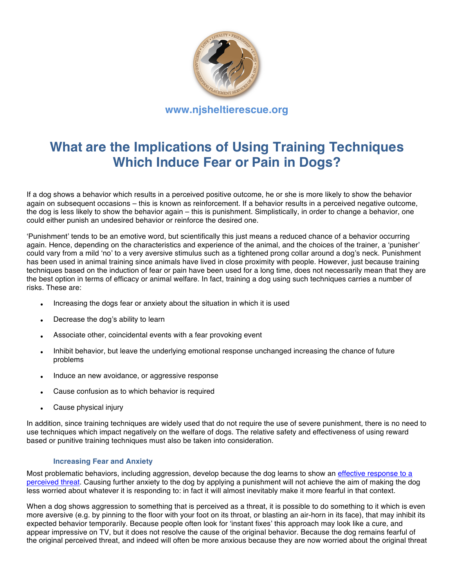

# **What are the Implications of Using Training Techniques Which Induce Fear or Pain in Dogs?**

If a dog shows a behavior which results in a perceived positive outcome, he or she is more likely to show the behavior again on subsequent occasions – this is known as reinforcement. If a behavior results in a perceived negative outcome, the dog is less likely to show the behavior again – this is punishment. Simplistically, in order to change a behavior, one could either punish an undesired behavior or reinforce the desired one.

ʻPunishment' tends to be an emotive word, but scientifically this just means a reduced chance of a behavior occurring again. Hence, depending on the characteristics and experience of the animal, and the choices of the trainer, a ʻpunisher' could vary from a mild ʻno' to a very aversive stimulus such as a tightened prong collar around a dog's neck. Punishment has been used in animal training since animals have lived in close proximity with people. However, just because training techniques based on the induction of fear or pain have been used for a long time, does not necessarily mean that they are the best option in terms of efficacy or animal welfare. In fact, training a dog using such techniques carries a number of risks. These are:

- Increasing the dogs fear or anxiety about the situation in which it is used
- Decrease the dog's ability to learn
- Associate other, coincidental events with a fear provoking event
- Inhibit behavior, but leave the underlying emotional response unchanged increasing the chance of future problems
- Induce an new avoidance, or aggressive response
- Cause confusion as to which behavior is required
- Cause physical injury

In addition, since training techniques are widely used that do not require the use of severe punishment, there is no need to use techniques which impact negatively on the welfare of dogs. The relative safety and effectiveness of using reward based or punitive training techniques must also be taken into consideration.

## **Increasing Fear and Anxiety**

Most problematic behaviors, including aggression, develop because the dog learns to show an effective response to a perceived threat. Causing further anxiety to the dog by applying a punishment will not achieve the aim of making the dog less worried about whatever it is responding to: in fact it will almost inevitably make it more fearful in that context.

When a dog shows aggression to something that is perceived as a threat, it is possible to do something to it which is even more aversive (e.g. by pinning to the floor with your foot on its throat, or blasting an air-horn in its face), that may inhibit its expected behavior temporarily. Because people often look for ʻinstant fixes' this approach may look like a cure, and appear impressive on TV, but it does not resolve the cause of the original behavior. Because the dog remains fearful of the original perceived threat, and indeed will often be more anxious because they are now worried about the original threat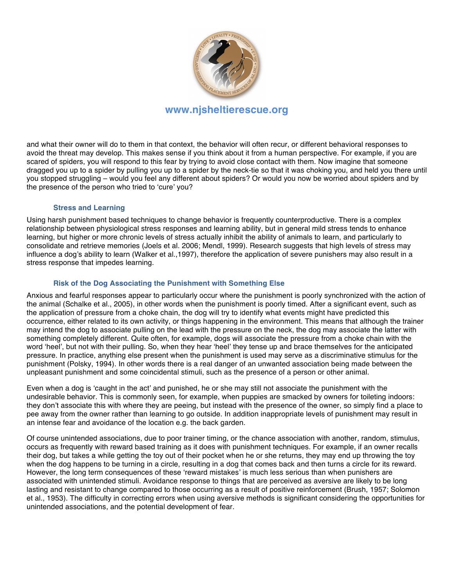

# **www.njsheltierescue.org**

and what their owner will do to them in that context, the behavior will often recur, or different behavioral responses to avoid the threat may develop. This makes sense if you think about it from a human perspective. For example, if you are scared of spiders, you will respond to this fear by trying to avoid close contact with them. Now imagine that someone dragged you up to a spider by pulling you up to a spider by the neck-tie so that it was choking you, and held you there until you stopped struggling – would you feel any different about spiders? Or would you now be worried about spiders and by the presence of the person who tried to ʻcure' you?

#### **Stress and Learning**

Using harsh punishment based techniques to change behavior is frequently counterproductive. There is a complex relationship between physiological stress responses and learning ability, but in general mild stress tends to enhance learning, but higher or more chronic levels of stress actually inhibit the ability of animals to learn, and particularly to consolidate and retrieve memories (Joels et al. 2006; Mendl, 1999). Research suggests that high levels of stress may influence a dog's ability to learn (Walker et al.,1997), therefore the application of severe punishers may also result in a stress response that impedes learning.

## **Risk of the Dog Associating the Punishment with Something Else**

Anxious and fearful responses appear to particularly occur where the punishment is poorly synchronized with the action of the animal (Schalke et al., 2005), in other words when the punishment is poorly timed. After a significant event, such as the application of pressure from a choke chain, the dog will try to identify what events might have predicted this occurrence, either related to its own activity, or things happening in the environment. This means that although the trainer may intend the dog to associate pulling on the lead with the pressure on the neck, the dog may associate the latter with something completely different. Quite often, for example, dogs will associate the pressure from a choke chain with the word ʻheel', but not with their pulling. So, when they hear ʻheel' they tense up and brace themselves for the anticipated pressure. In practice, anything else present when the punishment is used may serve as a discriminative stimulus for the punishment (Polsky, 1994). In other words there is a real danger of an unwanted association being made between the unpleasant punishment and some coincidental stimuli, such as the presence of a person or other animal.

Even when a dog is ʻcaught in the act' and punished, he or she may still not associate the punishment with the undesirable behavior. This is commonly seen, for example, when puppies are smacked by owners for toileting indoors: they don't associate this with where they are peeing, but instead with the presence of the owner, so simply find a place to pee away from the owner rather than learning to go outside. In addition inappropriate levels of punishment may result in an intense fear and avoidance of the location e.g. the back garden.

Of course unintended associations, due to poor trainer timing, or the chance association with another, random, stimulus, occurs as frequently with reward based training as it does with punishment techniques. For example, if an owner recalls their dog, but takes a while getting the toy out of their pocket when he or she returns, they may end up throwing the toy when the dog happens to be turning in a circle, resulting in a dog that comes back and then turns a circle for its reward. However, the long term consequences of these ʻreward mistakes' is much less serious than when punishers are associated with unintended stimuli. Avoidance response to things that are perceived as aversive are likely to be long lasting and resistant to change compared to those occurring as a result of positive reinforcement (Brush, 1957; Solomon et al., 1953). The difficulty in correcting errors when using aversive methods is significant considering the opportunities for unintended associations, and the potential development of fear.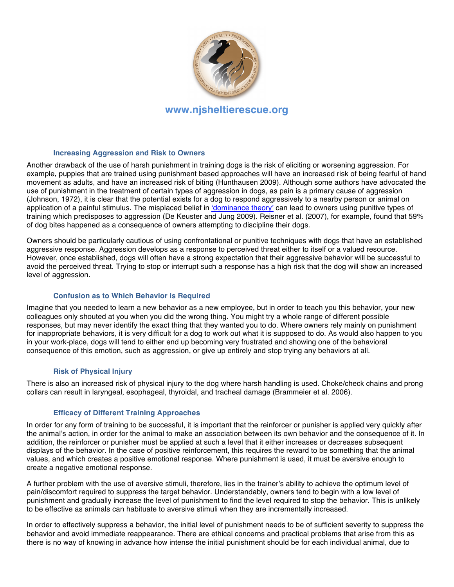

#### **Increasing Aggression and Risk to Owners**

Another drawback of the use of harsh punishment in training dogs is the risk of eliciting or worsening aggression. For example, puppies that are trained using punishment based approaches will have an increased risk of being fearful of hand movement as adults, and have an increased risk of biting (Hunthausen 2009). Although some authors have advocated the use of punishment in the treatment of certain types of aggression in dogs, as pain is a primary cause of aggression (Johnson, 1972), it is clear that the potential exists for a dog to respond aggressively to a nearby person or animal on application of a painful stimulus. The misplaced belief in ʻdominance theory' can lead to owners using punitive types of training which predisposes to aggression (De Keuster and Jung 2009). Reisner et al. (2007), for example, found that 59% of dog bites happened as a consequence of owners attempting to discipline their dogs.

Owners should be particularly cautious of using confrontational or punitive techniques with dogs that have an established aggressive response. Aggression develops as a response to perceived threat either to itself or a valued resource. However, once established, dogs will often have a strong expectation that their aggressive behavior will be successful to avoid the perceived threat. Trying to stop or interrupt such a response has a high risk that the dog will show an increased level of aggression.

## **Confusion as to Which Behavior is Required**

Imagine that you needed to learn a new behavior as a new employee, but in order to teach you this behavior, your new colleagues only shouted at you when you did the wrong thing. You might try a whole range of different possible responses, but may never identify the exact thing that they wanted you to do. Where owners rely mainly on punishment for inappropriate behaviors, it is very difficult for a dog to work out what it is supposed to do. As would also happen to you in your work-place, dogs will tend to either end up becoming very frustrated and showing one of the behavioral consequence of this emotion, such as aggression, or give up entirely and stop trying any behaviors at all.

## **Risk of Physical Injury**

There is also an increased risk of physical injury to the dog where harsh handling is used. Choke/check chains and prong collars can result in laryngeal, esophageal, thyroidal, and tracheal damage (Brammeier et al. 2006).

## **Efficacy of Different Training Approaches**

In order for any form of training to be successful, it is important that the reinforcer or punisher is applied very quickly after the animal's action, in order for the animal to make an association between its own behavior and the consequence of it. In addition, the reinforcer or punisher must be applied at such a level that it either increases or decreases subsequent displays of the behavior. In the case of positive reinforcement, this requires the reward to be something that the animal values, and which creates a positive emotional response. Where punishment is used, it must be aversive enough to create a negative emotional response.

A further problem with the use of aversive stimuli, therefore, lies in the trainer's ability to achieve the optimum level of pain/discomfort required to suppress the target behavior. Understandably, owners tend to begin with a low level of punishment and gradually increase the level of punishment to find the level required to stop the behavior. This is unlikely to be effective as animals can habituate to aversive stimuli when they are incrementally increased.

In order to effectively suppress a behavior, the initial level of punishment needs to be of sufficient severity to suppress the behavior and avoid immediate reappearance. There are ethical concerns and practical problems that arise from this as there is no way of knowing in advance how intense the initial punishment should be for each individual animal, due to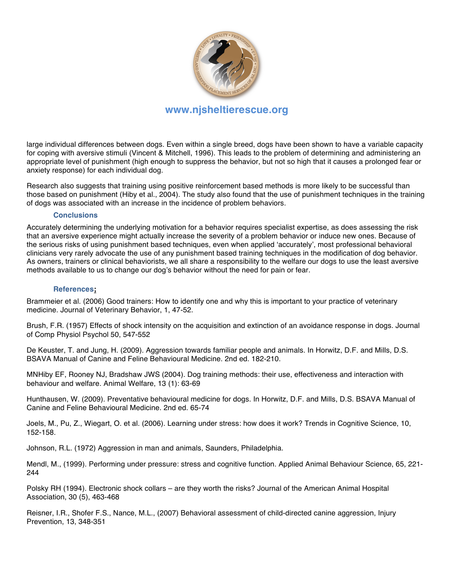

# **www.njsheltierescue.org**

large individual differences between dogs. Even within a single breed, dogs have been shown to have a variable capacity for coping with aversive stimuli (Vincent & Mitchell, 1996). This leads to the problem of determining and administering an appropriate level of punishment (high enough to suppress the behavior, but not so high that it causes a prolonged fear or anxiety response) for each individual dog.

Research also suggests that training using positive reinforcement based methods is more likely to be successful than those based on punishment (Hiby et al., 2004). The study also found that the use of punishment techniques in the training of dogs was associated with an increase in the incidence of problem behaviors.

#### **Conclusions**

Accurately determining the underlying motivation for a behavior requires specialist expertise, as does assessing the risk that an aversive experience might actually increase the severity of a problem behavior or induce new ones. Because of the serious risks of using punishment based techniques, even when applied ʻaccurately', most professional behavioral clinicians very rarely advocate the use of any punishment based training techniques in the modification of dog behavior. As owners, trainers or clinical behaviorists, we all share a responsibility to the welfare our dogs to use the least aversive methods available to us to change our dog's behavior without the need for pain or fear.

#### **References;**

Brammeier et al. (2006) Good trainers: How to identify one and why this is important to your practice of veterinary medicine. Journal of Veterinary Behavior, 1, 47-52.

Brush, F.R. (1957) Effects of shock intensity on the acquisition and extinction of an avoidance response in dogs. Journal of Comp Physiol Psychol 50, 547-552

De Keuster, T. and Jung, H. (2009). Aggression towards familiar people and animals. In Horwitz, D.F. and Mills, D.S. BSAVA Manual of Canine and Feline Behavioural Medicine. 2nd ed. 182-210.

MNHiby EF, Rooney NJ, Bradshaw JWS (2004). Dog training methods: their use, effectiveness and interaction with behaviour and welfare. Animal Welfare, 13 (1): 63-69

Hunthausen, W. (2009). Preventative behavioural medicine for dogs. In Horwitz, D.F. and Mills, D.S. BSAVA Manual of Canine and Feline Behavioural Medicine. 2nd ed. 65-74

Joels, M., Pu, Z., Wiegart, O. et al. (2006). Learning under stress: how does it work? Trends in Cognitive Science, 10, 152-158.

Johnson, R.L. (1972) Aggression in man and animals, Saunders, Philadelphia.

Mendl, M., (1999). Performing under pressure: stress and cognitive function. Applied Animal Behaviour Science, 65, 221- 244

Polsky RH (1994). Electronic shock collars – are they worth the risks? Journal of the American Animal Hospital Association, 30 (5), 463-468

Reisner, I.R., Shofer F.S., Nance, M.L., (2007) Behavioral assessment of child-directed canine aggression, Injury Prevention, 13, 348-351